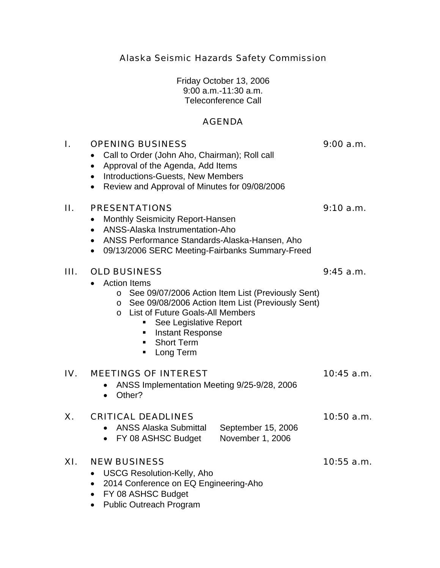Alaska Seismic Hazards Safety Commission

Friday October 13, 2006 9:00 a.m.-11:30 a.m. Teleconference Call

# AGENDA

# I. OPENING BUSINESS 9:00 a.m.

- Call to Order (John Aho, Chairman); Roll call
- Approval of the Agenda, Add Items
- Introductions-Guests, New Members
- Review and Approval of Minutes for 09/08/2006

### II. PRESENTATIONS 9:10 a.m.

- Monthly Seismicity Report-Hansen
- ANSS-Alaska Instrumentation-Aho
- ANSS Performance Standards-Alaska-Hansen, Aho
- 09/13/2006 SERC Meeting-Fairbanks Summary-Freed

## III. OLD BUSINESS 9:45 a.m.

- Action Items
	- o See 09/07/2006 Action Item List (Previously Sent)
	- o See 09/08/2006 Action Item List (Previously Sent)
	- o List of Future Goals-All Members
		- See Legislative Report
		- **Instant Response**
		- **Short Term**
		- **Long Term**

### IV. MEETINGS OF INTEREST 10:45 a.m.

- ANSS Implementation Meeting 9/25-9/28, 2006
- Other?

### X. CRITICAL DEADLINES 10:50 a.m.

- ANSS Alaska Submittal September 15, 2006
- FY 08 ASHSC Budget November 1, 2006

# XI. NEW BUSINESS 10:55 a.m.

- USCG Resolution-Kelly, Aho
- 2014 Conference on EQ Engineering-Aho
- FY 08 ASHSC Budget
- Public Outreach Program

- 
- 
-